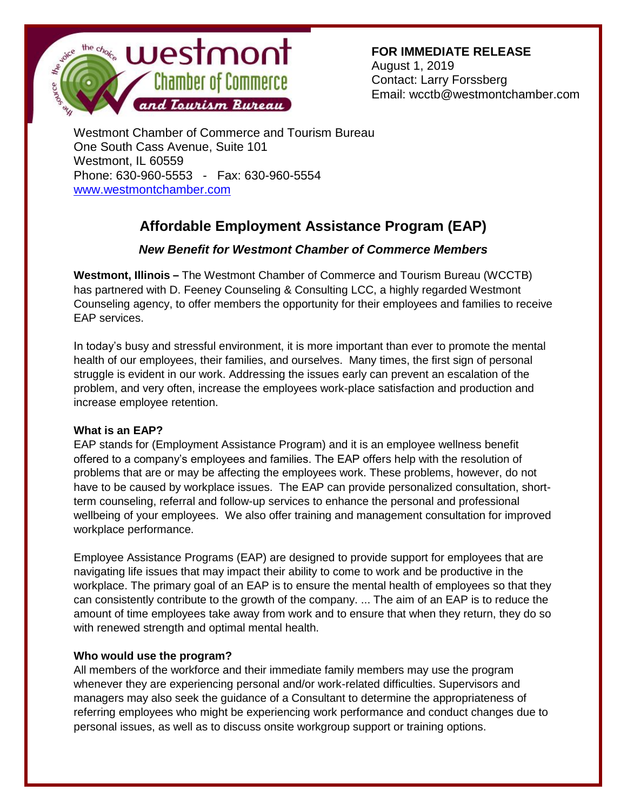

**FOR IMMEDIATE RELEASE** August 1, 2019 Contact: Larry Forssberg Email: wcctb@westmontchamber.com

Westmont Chamber of Commerce and Tourism Bureau One South Cass Avenue, Suite 101 Westmont, IL 60559 Phone: 630-960-5553 - Fax: 630-960-5554 [www.westmontchamber.com](http://www.westmontchamber.com/)

## **Affordable Employment Assistance Program (EAP)**

## *New Benefit for Westmont Chamber of Commerce Members*

**Westmont, Illinois –** The Westmont Chamber of Commerce and Tourism Bureau (WCCTB) has partnered with D. Feeney Counseling & Consulting LCC, a highly regarded Westmont Counseling agency, to offer members the opportunity for their employees and families to receive EAP services.

In today's busy and stressful environment, it is more important than ever to promote the mental health of our employees, their families, and ourselves. Many times, the first sign of personal struggle is evident in our work. Addressing the issues early can prevent an escalation of the problem, and very often, increase the employees work-place satisfaction and production and increase employee retention.

## **What is an EAP?**

EAP stands for (Employment Assistance Program) and it is an employee wellness benefit offered to a company's employees and families. The EAP offers help with the resolution of problems that are or may be affecting the employees work. These problems, however, do not have to be caused by workplace issues. The EAP can provide personalized consultation, shortterm counseling, referral and follow-up services to enhance the personal and professional wellbeing of your employees. We also offer training and management consultation for improved workplace performance.

Employee Assistance Programs (EAP) are designed to provide support for employees that are navigating life issues that may impact their ability to come to work and be productive in the workplace. The primary goal of an EAP is to ensure the mental health of employees so that they can consistently contribute to the growth of the company. ... The aim of an EAP is to reduce the amount of time employees take away from work and to ensure that when they return, they do so with renewed strength and optimal mental health.

## **Who would use the program?**

All members of the workforce and their immediate family members may use the program whenever they are experiencing personal and/or work-related difficulties. Supervisors and managers may also seek the guidance of a Consultant to determine the appropriateness of referring employees who might be experiencing work performance and conduct changes due to personal issues, as well as to discuss onsite workgroup support or training options.